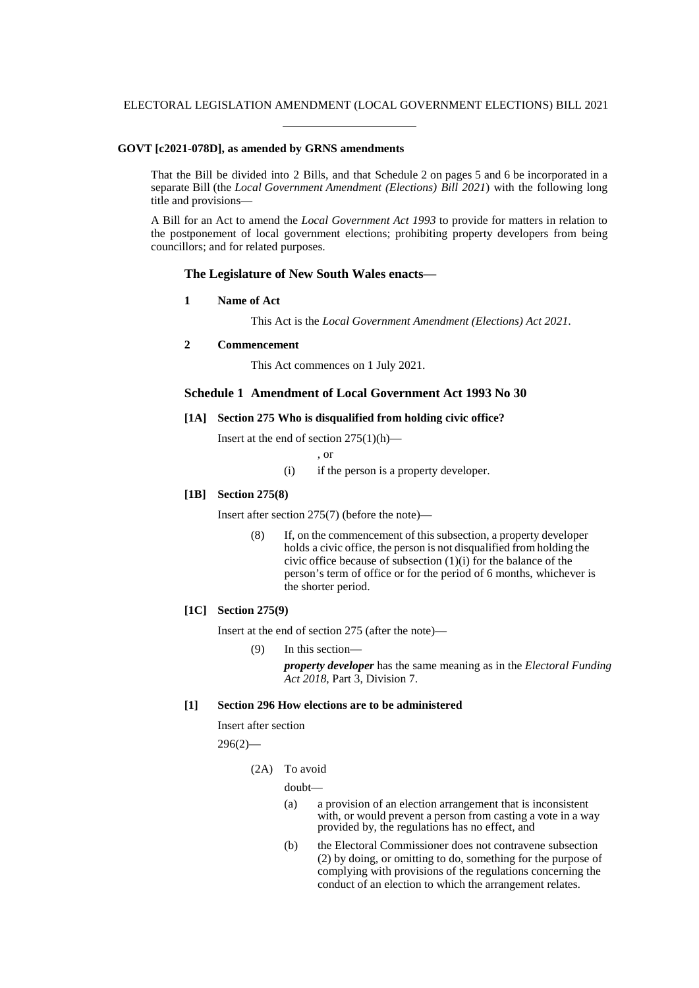### **GOVT [c2021-078D], as amended by GRNS amendments**

That the Bill be divided into 2 Bills, and that Schedule 2 on pages 5 and 6 be incorporated in a separate Bill (the *Local Government Amendment (Elections) Bill 2021*) with the following long title and provisions—

A Bill for an Act to amend the *Local Government Act 1993* to provide for matters in relation to the postponement of local government elections; prohibiting property developers from being councillors; and for related purposes.

# **The Legislature of New South Wales enacts—**

**1 Name of Act**

This Act is the *Local Government Amendment (Elections) Act 2021*.

#### **2 Commencement**

This Act commences on 1 July 2021.

### **Schedule 1 Amendment of Local Government Act 1993 No 30**

## **[1A] Section 275 Who is disqualified from holding civic office?**

Insert at the end of section  $275(1)(h)$ —

, or

(i) if the person is a property developer.

## **[1B] Section 275(8)**

Insert after section 275(7) (before the note)—

(8) If, on the commencement of this subsection, a property developer holds a civic office, the person is not disqualified from holding the civic office because of subsection  $(1)(i)$  for the balance of the person's term of office or for the period of 6 months, whichever is the shorter period.

#### **[1C] Section 275(9)**

Insert at the end of section 275 (after the note)—

(9) In this section *property developer* has the same meaning as in the *Electoral Funding Act 2018*, Part 3, Division 7.

#### **[1] Section 296 How elections are to be administered**

Insert after section

 $296(2)$ —

(2A) To avoid

doubt—

- (a) a provision of an election arrangement that is inconsistent with, or would prevent a person from casting a vote in a way provided by, the regulations has no effect, and
- (b) the Electoral Commissioner does not contravene subsection (2) by doing, or omitting to do, something for the purpose of complying with provisions of the regulations concerning the conduct of an election to which the arrangement relates.